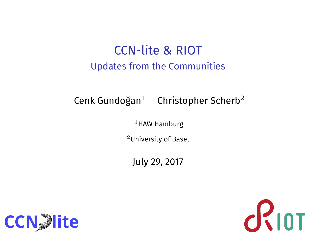### CCN-lite & RIOT Updates from the Communities

#### Cenk Gündoğan<sup>1</sup> Christopher Scherb<sup>2</sup>

 $1$ HAW Hamburg

<sup>2</sup>University of Basel

July 29, 2017



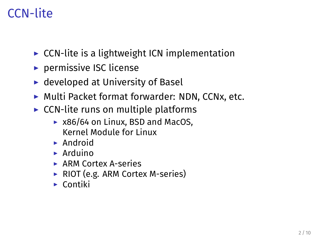# CCN-lite

- $\triangleright$  CCN-lite is a lightweight ICN implementation
- ▶ permissive ISC license
- $\blacktriangleright$  developed at University of Basel
- ▶ Multi Packet format forwarder: NDN, CCNx, etc.
- ▶ CCN-lite runs on multiple platforms
	- ▶ x86/64 on Linux, BSD and MacOS, Kernel Module for Linux
	- ▶ Android
	- $\blacktriangleright$  Arduino
	- ▶ ARM Cortex A-series
	- ▶ RIOT (e.g. ARM Cortex M-series)
	- $\triangleright$  Contiki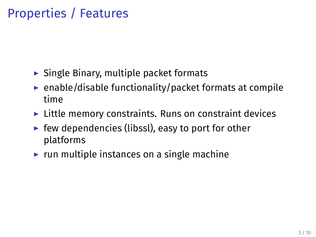## Properties / Features

- $\triangleright$  Single Binary, multiple packet formats
- $\triangleright$  enable/disable functionality/packet formats at compile time
- $\blacktriangleright$  Little memory constraints. Runs on constraint devices
- $\blacktriangleright$  few dependencies (libssl), easy to port for other platforms
- $\triangleright$  run multiple instances on a single machine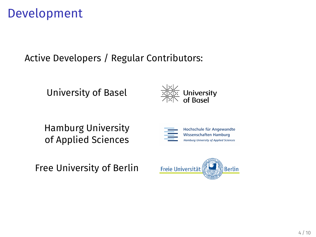### Development

Active Developers / Regular Contributors:

University of Basel



Hamburg University of Applied Sciences



Hochschule für Angewandte **Wissenschaften Hamburg Hamburg University of Applied Sciences** 

Free University of Berlin

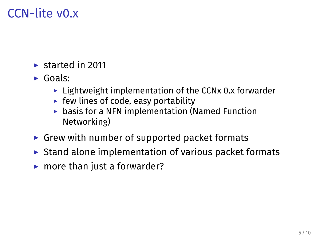## CCN-lite v0.x

- $\blacktriangleright$  started in 2011
- $\triangleright$  Goals:
	- $\blacktriangleright$  Lightweight implementation of the CCNx 0.x forwarder
	- $\blacktriangleright$  few lines of code, easy portability
	- $\triangleright$  basis for a NFN implementation (Named Function Networking)
- $\triangleright$  Grew with number of supported packet formats
- $\triangleright$  Stand alone implementation of various packet formats
- $\blacktriangleright$  more than just a forwarder?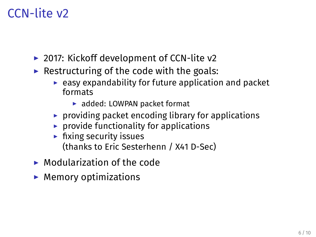## CCN-lite v<sub>2</sub>

- ▶ 2017: Kickoff development of CCN-lite v2
- $\triangleright$  Restructuring of the code with the goals:
	- $\triangleright$  easy expandability for future application and packet formats
		- ▶ added: LOWPAN packet format
	- $\triangleright$  providing packet encoding library for applications
	- $\blacktriangleright$  provide functionality for applications
	- $\blacktriangleright$  fixing security issues (thanks to Eric Sesterhenn / X41 D-Sec)
- $\blacktriangleright$  Modularization of the code
- $\blacktriangleright$  Memory optimizations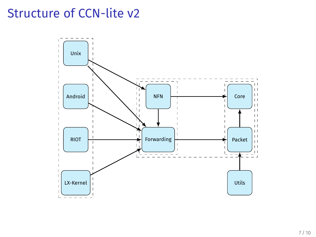### Structure of CCN-lite v2

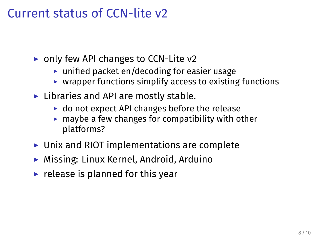### Current status of CCN-lite v2

- ▶ only few API changes to CCN-Lite v2
	- $\blacktriangleright$  unified packet en/decoding for easier usage
	- $\triangleright$  wrapper functions simplify access to existing functions
- ▶ Libraries and API are mostly stable.
	- $\triangleright$  do not expect API changes before the release
	- $\triangleright$  maybe a few changes for compatibility with other platforms?
- $\triangleright$  Unix and RIOT implementations are complete
- ▶ Missing: Linux Kernel, Android, Arduino
- $\blacktriangleright$  release is planned for this year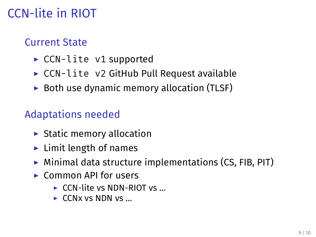# CCN-lite in RIOT

#### Current State

- ▶ CCN-lite v1 supported
- ▶ CCN-lite v2 GitHub Pull Request available
- ▶ Both use dynamic memory allocation (TLSF)

#### Adaptations needed

- $\triangleright$  Static memory allocation
- $\blacktriangleright$  Limit length of names
- $\triangleright$  Minimal data structure implementations (CS, FIB, PIT)
- ▶ Common API for users
	- ▶ CCN-lite vs NDN-RIOT vs …
	- ▶ CCNx vs NDN vs …